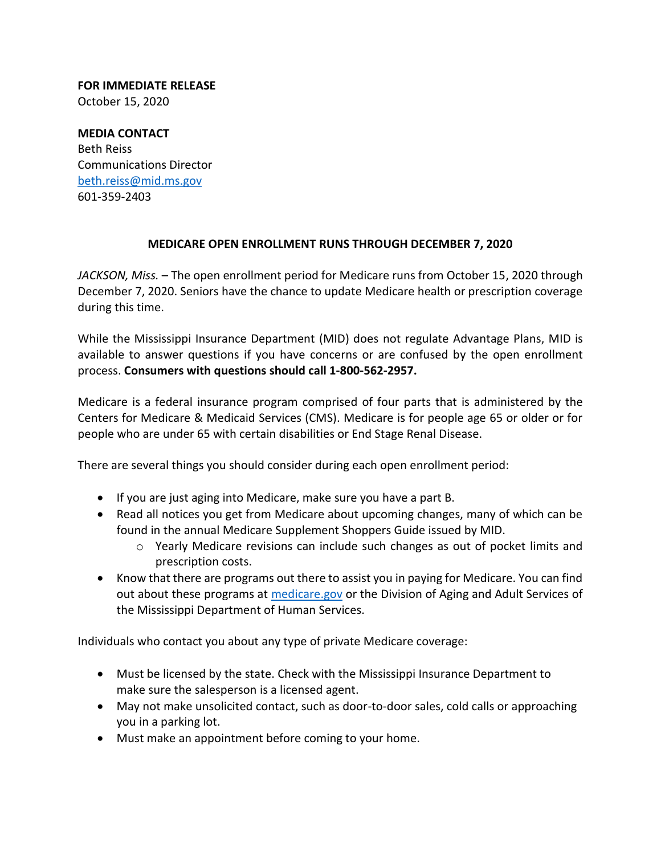**FOR IMMEDIATE RELEASE** October 15, 2020

**MEDIA CONTACT** Beth Reiss Communications Director [beth.reiss@mid.ms.gov](mailto:beth.reiss@mid.ms.gov) 601‐359‐2403

## **MEDICARE OPEN ENROLLMENT RUNS THROUGH DECEMBER 7, 2020**

*JACKSON, Miss.* – The open enrollment period for Medicare runs from October 15, 2020 through December 7, 2020. Seniors have the chance to update Medicare health or prescription coverage during this time.

While the Mississippi Insurance Department (MID) does not regulate Advantage Plans, MID is available to answer questions if you have concerns or are confused by the open enrollment process. **Consumers with questions should call 1-800-562-2957.**

Medicare is a federal insurance program comprised of four parts that is administered by the Centers for Medicare & Medicaid Services (CMS). Medicare is for people age 65 or older or for people who are under 65 with certain disabilities or End Stage Renal Disease.

There are several things you should consider during each open enrollment period:

- If you are just aging into Medicare, make sure you have a part B.
- Read all notices you get from Medicare about upcoming changes, many of which can be found in the annual Medicare Supplement Shoppers Guide issued by MID.
	- o Yearly Medicare revisions can include such changes as out of pocket limits and prescription costs.
- Know that there are programs out there to assist you in paying for Medicare. You can find out about these programs at [medicare.gov](http://medicare.gov/) or the Division of Aging and Adult Services of the Mississippi Department of Human Services.

Individuals who contact you about any type of private Medicare coverage:

- Must be licensed by the state. Check with the Mississippi Insurance Department to make sure the salesperson is a licensed agent.
- May not make unsolicited contact, such as door-to-door sales, cold calls or approaching you in a parking lot.
- Must make an appointment before coming to your home.